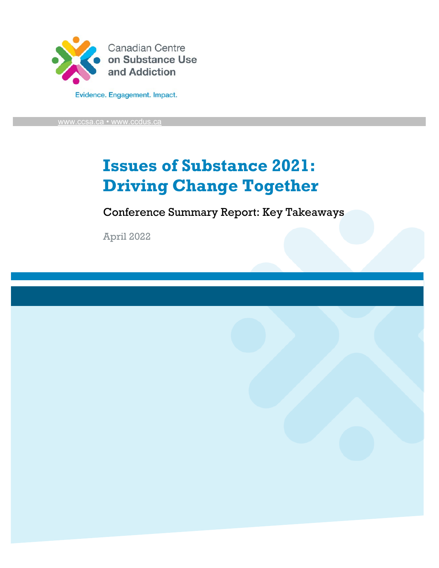

[www.ccsa.ca](http://www.ccsa.ca/) • www.ccdus.ca

# **Issues of Substance 2021: Driving Change Together**

Conference Summary Report: Key Takeaways

April 2022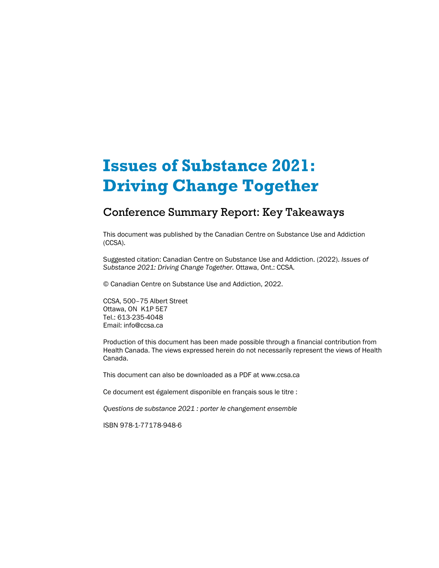# **Issues of Substance 2021: Driving Change Together**

### Conference Summary Report: Key Takeaways

This document was published by the Canadian Centre on Substance Use and Addiction (CCSA).

Suggested citation: Canadian Centre on Substance Use and Addiction. (2022). *Issues of Substance 2021: Driving Change Together.* Ottawa, Ont.: CCSA.

© Canadian Centre on Substance Use and Addiction, 2022.

CCSA, 500–75 Albert Street Ottawa, ON K1P 5E7 Tel.: 613-235-4048 Email: info@ccsa.ca

Production of this document has been made possible through a financial contribution from Health Canada. The views expressed herein do not necessarily represent the views of Health Canada.

This document can also be downloaded as a PDF at www.ccsa.ca

Ce document est également disponible en français sous le titre :

*Questions de substance 2021 : porter le changement ensemble*

ISBN 978-1-77178-948-6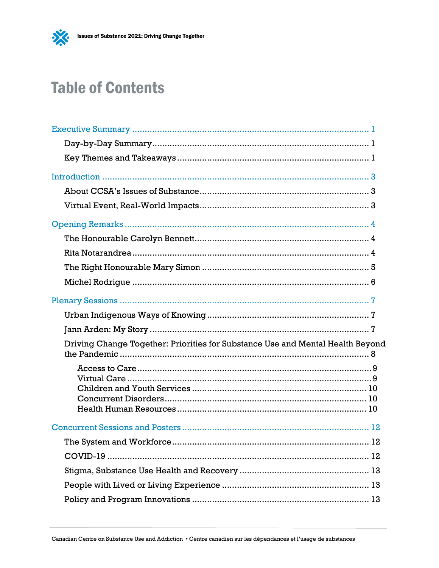# **Table of Contents**

| Driving Change Together: Priorities for Substance Use and Mental Health Beyond |  |
|--------------------------------------------------------------------------------|--|
|                                                                                |  |
|                                                                                |  |
|                                                                                |  |
|                                                                                |  |
|                                                                                |  |
|                                                                                |  |
|                                                                                |  |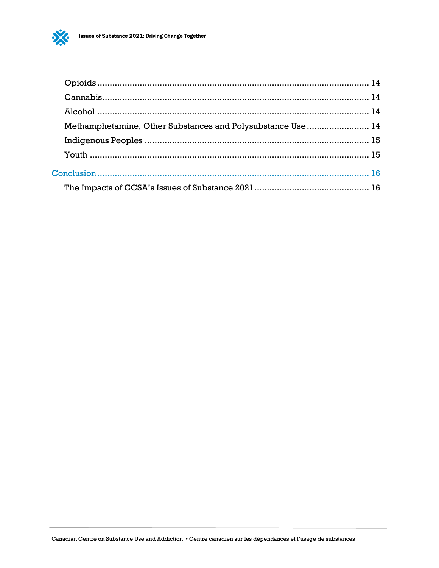

| Methamphetamine, Other Substances and Polysubstance Use  14 |  |
|-------------------------------------------------------------|--|
|                                                             |  |
|                                                             |  |
|                                                             |  |
|                                                             |  |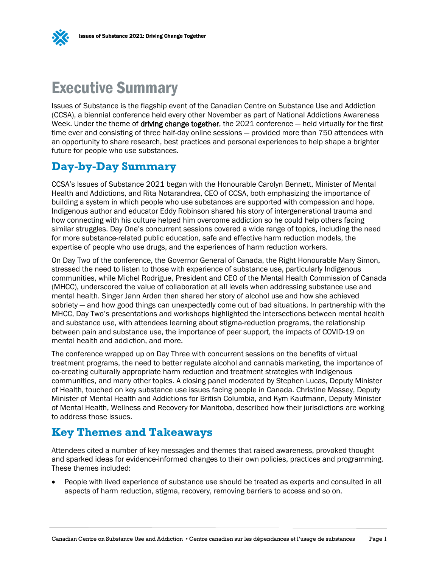

# <span id="page-4-0"></span>Executive Summary

Issues of Substance is the flagship event of the Canadian Centre on Substance Use and Addiction (CCSA), a biennial conference held every other November as part of National Addictions Awareness Week. Under the theme of driving change together, the 2021 conference – held virtually for the first time ever and consisting of three half-day online sessions — provided more than 750 attendees with an opportunity to share research, best practices and personal experiences to help shape a brighter future for people who use substances.

## <span id="page-4-1"></span>**Day-by-Day Summary**

CCSA's Issues of Substance 2021 began with the Honourable Carolyn Bennett, Minister of Mental Health and Addictions, and Rita Notarandrea, CEO of CCSA, both emphasizing the importance of building a system in which people who use substances are supported with compassion and hope. Indigenous author and educator Eddy Robinson shared his story of intergenerational trauma and how connecting with his culture helped him overcome addiction so he could help others facing similar struggles. Day One's concurrent sessions covered a wide range of topics, including the need for more substance-related public education, safe and effective harm reduction models, the expertise of people who use drugs, and the experiences of harm reduction workers.

On Day Two of the conference, the Governor General of Canada, the Right Honourable Mary Simon, stressed the need to listen to those with experience of substance use, particularly Indigenous communities, while Michel Rodrigue, President and CEO of the Mental Health Commission of Canada (MHCC), underscored the value of collaboration at all levels when addressing substance use and mental health. Singer Jann Arden then shared her story of alcohol use and how she achieved sobriety — and how good things can unexpectedly come out of bad situations. In partnership with the MHCC, Day Two's presentations and workshops highlighted the intersections between mental health and substance use, with attendees learning about stigma-reduction programs, the relationship between pain and substance use, the importance of peer support, the impacts of COVID-19 on mental health and addiction, and more.

The conference wrapped up on Day Three with concurrent sessions on the benefits of virtual treatment programs, the need to better regulate alcohol and cannabis marketing, the importance of co-creating culturally appropriate harm reduction and treatment strategies with Indigenous communities, and many other topics. A closing panel moderated by Stephen Lucas, Deputy Minister of Health, touched on key substance use issues facing people in Canada. Christine Massey, Deputy Minister of Mental Health and Addictions for British Columbia, and Kym Kaufmann, Deputy Minister of Mental Health, Wellness and Recovery for Manitoba, described how their jurisdictions are working to address those issues.

## <span id="page-4-2"></span>**Key Themes and Takeaways**

Attendees cited a number of key messages and themes that raised awareness, provoked thought and sparked ideas for evidence-informed changes to their own policies, practices and programming. These themes included:

• People with lived experience of substance use should be treated as experts and consulted in all aspects of harm reduction, stigma, recovery, removing barriers to access and so on.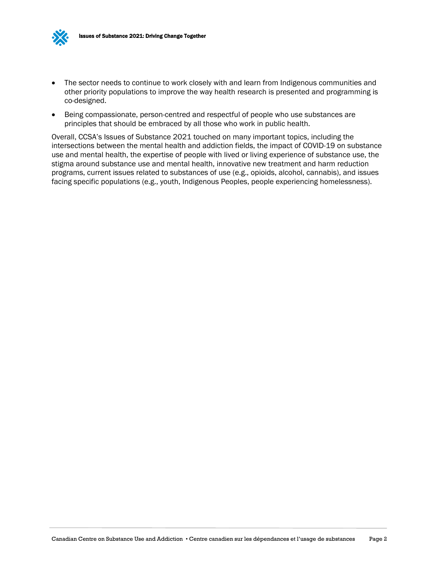

- The sector needs to continue to work closely with and learn from Indigenous communities and other priority populations to improve the way health research is presented and programming is co-designed.
- Being compassionate, person-centred and respectful of people who use substances are principles that should be embraced by all those who work in public health.

Overall, CCSA's Issues of Substance 2021 touched on many important topics, including the intersections between the mental health and addiction fields, the impact of COVID-19 on substance use and mental health, the expertise of people with lived or living experience of substance use, the stigma around substance use and mental health, innovative new treatment and harm reduction programs, current issues related to substances of use (e.g., opioids, alcohol, cannabis), and issues facing specific populations (e.g., youth, Indigenous Peoples, people experiencing homelessness).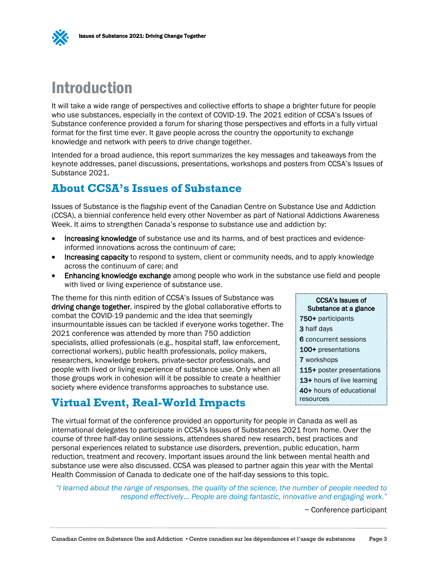

# <span id="page-6-0"></span>Introduction

It will take a wide range of perspectives and collective efforts to shape a brighter future for people who use substances, especially in the context of COVID-19. The 2021 edition of CCSA's Issues of Substance conference provided a forum for sharing those perspectives and efforts in a fully virtual format for the first time ever. It gave people across the country the opportunity to exchange knowledge and network with peers to drive change together.

Intended for a broad audience, this report summarizes the key messages and takeaways from the keynote addresses, panel discussions, presentations, workshops and posters from CCSA's Issues of Substance 2021.

## <span id="page-6-1"></span>**About CCSA's Issues of Substance**

Issues of Substance is the flagship event of the Canadian Centre on Substance Use and Addiction (CCSA), a biennial conference held every other November as part of National Addictions Awareness Week. It aims to strengthen Canada's response to substance use and addiction by:

- Increasing knowledge of substance use and its harms, and of best practices and evidenceinformed innovations across the continuum of care;
- **Increasing capacity** to respond to system, client or community needs, and to apply knowledge across the continuum of care; and
- Enhancing knowledge exchange among people who work in the substance use field and people with lived or living experience of substance use.

The theme for this ninth edition of CCSA's Issues of Substance was driving change together, inspired by the global collaborative efforts to combat the COVID-19 pandemic and the idea that seemingly insurmountable issues can be tackled if everyone works together. The 2021 conference was attended by more than 750 addiction specialists, allied professionals (e.g., hospital staff, law enforcement, correctional workers), public health professionals, policy makers, researchers, knowledge brokers, private-sector professionals, and people with lived or living experience of substance use. Only when all those groups work in cohesion will it be possible to create a healthier society where evidence transforms approaches to substance use.

## <span id="page-6-2"></span>**Virtual Event, Real-World Impacts**

CCSA's Issues of Substance at a glance 750+ participants 3 half days 6 concurrent sessions 100+ presentations 7 workshops 115+ poster presentations 13+ hours of live learning 40+ hours of educational resources

The virtual format of the conference provided an opportunity for people in Canada as well as international delegates to participate in CCSA's Issues of Substances 2021 from home. Over the course of three half-day online sessions, attendees shared new research, best practices and personal experiences related to substance use disorders, prevention, public education, harm reduction, treatment and recovery. Important issues around the link between mental health and substance use were also discussed. CCSA was pleased to partner again this year with the Mental Health Commission of Canada to dedicate one of the half-day sessions to this topic.

*"I learned about the range of responses, the quality of the science, the number of people needed to respond effectively… People are doing fantastic, innovative and engaging work."*

~ Conference participant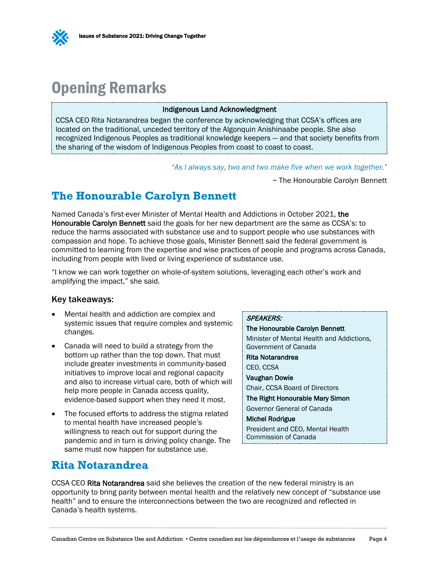# <span id="page-7-0"></span>Opening Remarks

### Indigenous Land Acknowledgment

CCSA CEO Rita Notarandrea began the conference by acknowledging that CCSA's offices are located on the traditional, unceded territory of the Algonquin Anishinaabe people. She also recognized Indigenous Peoples as traditional knowledge keepers — and that society benefits from the sharing of the wisdom of Indigenous Peoples from coast to coast to coast.

*"As I always say, two and two make five when we work together."*

~ The Honourable Carolyn Bennett

## <span id="page-7-1"></span>**The Honourable Carolyn Bennett**

Named Canada's first-ever Minister of Mental Health and Addictions in October 2021, the Honourable Carolyn Bennett said the goals for her new department are the same as CCSA's: to reduce the harms associated with substance use and to support people who use substances with compassion and hope. To achieve those goals, Minister Bennett said the federal government is committed to learning from the expertise and wise practices of people and programs across Canada, including from people with lived or living experience of substance use.

"I know we can work together on whole-of-system solutions, leveraging each other's work and amplifying the impact," she said.

### Key takeaways:

- Mental health and addiction are complex and systemic issues that require complex and systemic changes.
- Canada will need to build a strategy from the bottom up rather than the top down. That must include greater investments in community-based initiatives to improve local and regional capacity and also to increase virtual care, both of which will help more people in Canada access quality, evidence-based support when they need it most.
- The focused efforts to address the stigma related to mental health have increased people's willingness to reach out for support during the pandemic and in turn is driving policy change. The same must now happen for substance use.

### <span id="page-7-2"></span>**Rita Notarandrea**

#### SPEAKERS:

The Honourable Carolyn Bennett

Minister of Mental Health and Addictions, Government of Canada

#### Rita Notarandrea

CEO, CCSA

Vaughan Dowie

Chair, CCSA Board of Directors

The Right Honourable Mary Simon

Governor General of Canada

Michel Rodrigue

President and CEO, Mental Health Commission of Canada

CCSA CEO Rita Notarandrea said she believes the creation of the new federal ministry is an opportunity to bring parity between mental health and the relatively new concept of "substance use health" and to ensure the interconnections between the two are recognized and reflected in Canada's health systems.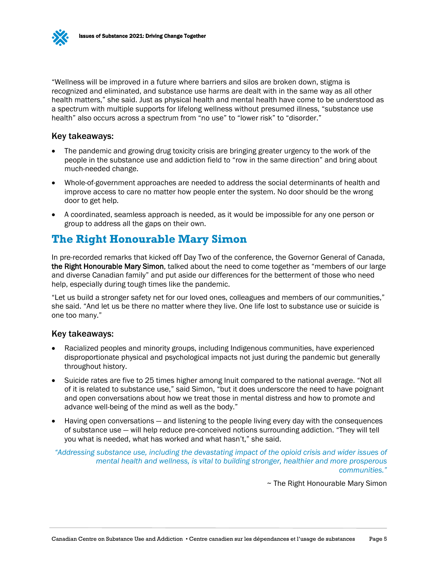"Wellness will be improved in a future where barriers and silos are broken down, stigma is recognized and eliminated, and substance use harms are dealt with in the same way as all other health matters," she said. Just as physical health and mental health have come to be understood as a spectrum with multiple supports for lifelong wellness without presumed illness, "substance use health" also occurs across a spectrum from "no use" to "lower risk" to "disorder."

### Key takeaways:

- The pandemic and growing drug toxicity crisis are bringing greater urgency to the work of the people in the substance use and addiction field to "row in the same direction" and bring about much-needed change.
- Whole-of-government approaches are needed to address the social determinants of health and improve access to care no matter how people enter the system. No door should be the wrong door to get help.
- A coordinated, seamless approach is needed, as it would be impossible for any one person or group to address all the gaps on their own.

### <span id="page-8-0"></span>**The Right Honourable Mary Simon**

In pre-recorded remarks that kicked off Day Two of the conference, the Governor General of Canada, the Right Honourable Mary Simon, talked about the need to come together as "members of our large and diverse Canadian family" and put aside our differences for the betterment of those who need help, especially during tough times like the pandemic.

"Let us build a stronger safety net for our loved ones, colleagues and members of our communities," she said. "And let us be there no matter where they live. One life lost to substance use or suicide is one too many."

### Key takeaways:

- Racialized peoples and minority groups, including Indigenous communities, have experienced disproportionate physical and psychological impacts not just during the pandemic but generally throughout history.
- Suicide rates are five to 25 times higher among Inuit compared to the national average. "Not all of it is related to substance use," said Simon, "but it does underscore the need to have poignant and open conversations about how we treat those in mental distress and how to promote and advance well-being of the mind as well as the body."
- Having open conversations and listening to the people living every day with the consequences of substance use — will help reduce pre-conceived notions surrounding addiction. "They will tell you what is needed, what has worked and what hasn't," she said.

*"Addressing substance use, including the devastating impact of the opioid crisis and wider issues of mental health and wellness, is vital to building stronger, healthier and more prosperous communities."*

~ The Right Honourable Mary Simon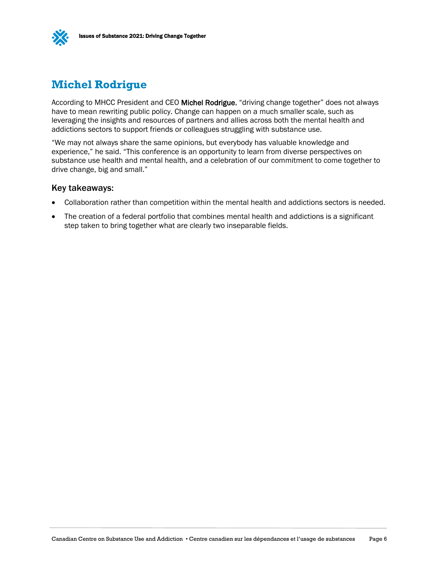



## <span id="page-9-0"></span>**Michel Rodrigue**

According to MHCC President and CEO Michel Rodrigue, "driving change together" does not always have to mean rewriting public policy. Change can happen on a much smaller scale, such as leveraging the insights and resources of partners and allies across both the mental health and addictions sectors to support friends or colleagues struggling with substance use.

"We may not always share the same opinions, but everybody has valuable knowledge and experience," he said. "This conference is an opportunity to learn from diverse perspectives on substance use health and mental health, and a celebration of our commitment to come together to drive change, big and small."

### Key takeaways:

- Collaboration rather than competition within the mental health and addictions sectors is needed.
- The creation of a federal portfolio that combines mental health and addictions is a significant step taken to bring together what are clearly two inseparable fields.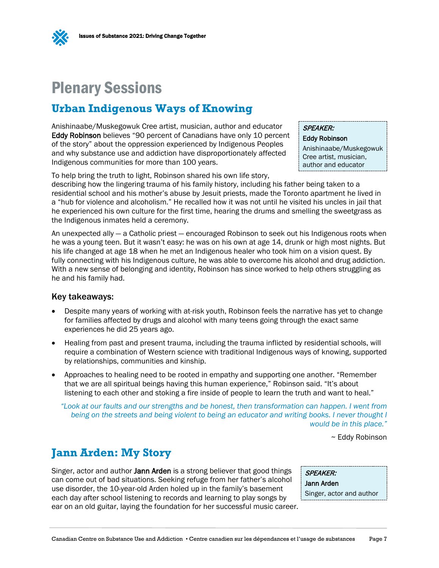# <span id="page-10-0"></span>Plenary Sessions

### <span id="page-10-1"></span>**Urban Indigenous Ways of Knowing**

Anishinaabe/Muskegowuk Cree artist, musician, author and educator Eddy Robinson believes "90 percent of Canadians have only 10 percent of the story" about the oppression experienced by Indigenous Peoples and why substance use and addiction have disproportionately affected Indigenous communities for more than 100 years.

SPEAKER: Eddy Robinson

Anishinaabe/Muskegowuk Cree artist, musician, author and educator

To help bring the truth to light, Robinson shared his own life story,

describing how the lingering trauma of his family history, including his father being taken to a residential school and his mother's abuse by Jesuit priests, made the Toronto apartment he lived in a "hub for violence and alcoholism." He recalled how it was not until he visited his uncles in jail that he experienced his own culture for the first time, hearing the drums and smelling the sweetgrass as the Indigenous inmates held a ceremony.

An unexpected ally — a Catholic priest — encouraged Robinson to seek out his Indigenous roots when he was a young teen. But it wasn't easy: he was on his own at age 14, drunk or high most nights. But his life changed at age 18 when he met an Indigenous healer who took him on a vision quest. By fully connecting with his Indigenous culture, he was able to overcome his alcohol and drug addiction. With a new sense of belonging and identity, Robinson has since worked to help others struggling as he and his family had.

### Key takeaways:

- Despite many years of working with at-risk youth, Robinson feels the narrative has yet to change for families affected by drugs and alcohol with many teens going through the exact same experiences he did 25 years ago.
- Healing from past and present trauma, including the trauma inflicted by residential schools, will require a combination of Western science with traditional Indigenous ways of knowing, supported by relationships, communities and kinship.
- Approaches to healing need to be rooted in empathy and supporting one another. "Remember" that we are all spiritual beings having this human experience," Robinson said. "It's about listening to each other and stoking a fire inside of people to learn the truth and want to heal."

*"Look at our faults and our strengths and be honest, then transformation can happen. I went from*  being on the streets and being violent to being an educator and writing books. I never thought I *would be in this place."*

 $\sim$  Eddy Robinson

## <span id="page-10-2"></span>**Jann Arden: My Story**

Singer, actor and author **Jann Arden** is a strong believer that good things can come out of bad situations. Seeking refuge from her father's alcohol use disorder, the 10-year-old Arden holed up in the family's basement each day after school listening to records and learning to play songs by ear on an old guitar, laying the foundation for her successful music career.

SPEAKER: Jann Arden Singer, actor and author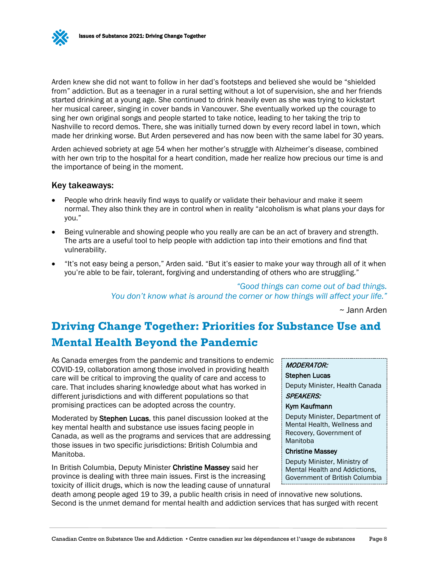Arden knew she did not want to follow in her dad's footsteps and believed she would be "shielded from" addiction. But as a teenager in a rural setting without a lot of supervision, she and her friends started drinking at a young age. She continued to drink heavily even as she was trying to kickstart her musical career, singing in cover bands in Vancouver. She eventually worked up the courage to sing her own original songs and people started to take notice, leading to her taking the trip to Nashville to record demos. There, she was initially turned down by every record label in town, which made her drinking worse. But Arden persevered and has now been with the same label for 30 years.

Arden achieved sobriety at age 54 when her mother's struggle with Alzheimer's disease, combined with her own trip to the hospital for a heart condition, made her realize how precious our time is and the importance of being in the moment.

### Key takeaways:

- People who drink heavily find ways to qualify or validate their behaviour and make it seem normal. They also think they are in control when in reality "alcoholism is what plans your days for you."
- Being vulnerable and showing people who you really are can be an act of bravery and strength. The arts are a useful tool to help people with addiction tap into their emotions and find that vulnerability.
- "It's not easy being a person," Arden said. "But it's easier to make your way through all of it when you're able to be fair, tolerant, forgiving and understanding of others who are struggling."

*"Good things can come out of bad things. You don't know what is around the corner or how things will affect your life."*

~ Jann Arden

# <span id="page-11-0"></span>**Driving Change Together: Priorities for Substance Use and Mental Health Beyond the Pandemic**

As Canada emerges from the pandemic and transitions to endemic COVID-19, collaboration among those involved in providing health care will be critical to improving the quality of care and access to care. That includes sharing knowledge about what has worked in different jurisdictions and with different populations so that promising practices can be adopted across the country.

Moderated by Stephen Lucas, this panel discussion looked at the key mental health and substance use issues facing people in Canada, as well as the programs and services that are addressing those issues in two specific jurisdictions: British Columbia and Manitoba.

In British Columbia, Deputy Minister Christine Massey said her province is dealing with three main issues. First is the increasing toxicity of illicit drugs, which is now the leading cause of unnatural

#### MODERATOR:

Stephen Lucas

Deputy Minister, Health Canada SPEAKERS:

#### Kym Kaufmann

Deputy Minister, Department of Mental Health, Wellness and Recovery, Government of Manitoba

#### Christine Massey

Deputy Minister, Ministry of Mental Health and Addictions, Government of British Columbia

death among people aged 19 to 39, a public health crisis in need of innovative new solutions. Second is the unmet demand for mental health and addiction services that has surged with recent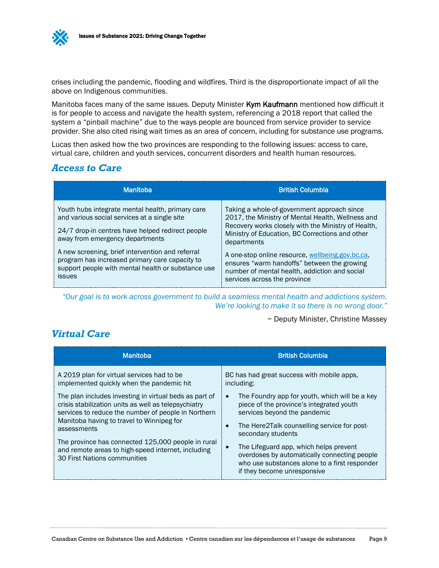crises including the pandemic, flooding and wildfires. Third is the disproportionate impact of all the above on Indigenous communities.

Manitoba faces many of the same issues. Deputy Minister Kym Kaufmann mentioned how difficult it is for people to access and navigate the health system, referencing a 2018 report that called the system a "pinball machine" due to the ways people are bounced from service provider to service provider. She also cited rising wait times as an area of concern, including for substance use programs.

Lucas then asked how the two provinces are responding to the following issues: access to care, virtual care, children and youth services, concurrent disorders and health human resources.

### <span id="page-12-0"></span>*Access to Care*

| <b>Manitoba</b>                                                                                                                                                                         | <b>British Columbia</b>                                                                                                                                                                                                   |
|-----------------------------------------------------------------------------------------------------------------------------------------------------------------------------------------|---------------------------------------------------------------------------------------------------------------------------------------------------------------------------------------------------------------------------|
| Youth hubs integrate mental health, primary care<br>and various social services at a single site<br>24/7 drop-in centres have helped redirect people<br>away from emergency departments | Taking a whole-of-government approach since<br>2017, the Ministry of Mental Health, Wellness and<br>Recovery works closely with the Ministry of Health,<br>Ministry of Education, BC Corrections and other<br>departments |
| A new screening, brief intervention and referral<br>program has increased primary care capacity to<br>support people with mental health or substance use<br><b>issues</b>               | A one-stop online resource, wellbeing gov.bc.ca,<br>ensures "warm handoffs" between the growing<br>number of mental health, addiction and social<br>services across the province                                          |

*"Our goal is to work across government to build a seamless mental health and addictions system. We're looking to make it so there is no wrong door."*

~ Deputy Minister, Christine Massey

### <span id="page-12-1"></span>*Virtual Care*

| <b>Manitoba</b>                                                                                                                                                                                                                                                                                                                                                                                                                                                          | <b>British Columbia</b>                                                                                                                                                                                                                                                                                                                                                                                                               |
|--------------------------------------------------------------------------------------------------------------------------------------------------------------------------------------------------------------------------------------------------------------------------------------------------------------------------------------------------------------------------------------------------------------------------------------------------------------------------|---------------------------------------------------------------------------------------------------------------------------------------------------------------------------------------------------------------------------------------------------------------------------------------------------------------------------------------------------------------------------------------------------------------------------------------|
| A 2019 plan for virtual services had to be<br>implemented quickly when the pandemic hit<br>The plan includes investing in virtual beds as part of<br>crisis stabilization units as well as telepsychiatry<br>services to reduce the number of people in Northern<br>Manitoba having to travel to Winnipeg for<br>assessments<br>The province has connected 125,000 people in rural<br>and remote areas to high-speed internet, including<br>30 First Nations communities | BC has had great success with mobile apps,<br>including:<br>The Foundry app for youth, which will be a key<br>piece of the province's integrated youth<br>services beyond the pandemic<br>The Here2Talk counselling service for post-<br>secondary students<br>The Lifeguard app, which helps prevent<br>overdoses by automatically connecting people<br>who use substances alone to a first responder<br>if they become unresponsive |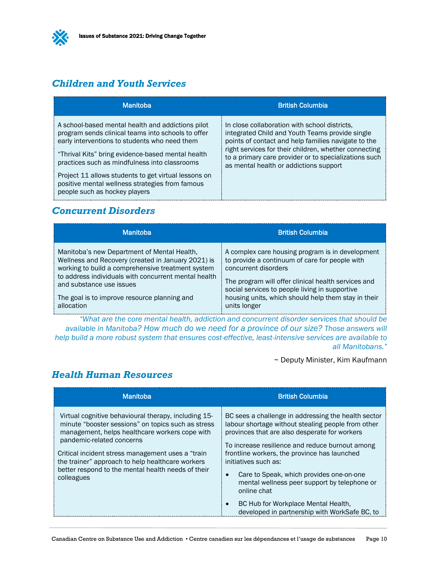

### <span id="page-13-0"></span>*Children and Youth Services*

| <b>Manitoba</b>                                                                                                                                                                                                                                                                                                                                                                                            | <b>British Columbia</b>                                                                                                                                                                                                                                                                                             |
|------------------------------------------------------------------------------------------------------------------------------------------------------------------------------------------------------------------------------------------------------------------------------------------------------------------------------------------------------------------------------------------------------------|---------------------------------------------------------------------------------------------------------------------------------------------------------------------------------------------------------------------------------------------------------------------------------------------------------------------|
| A school-based mental health and addictions pilot<br>program sends clinical teams into schools to offer<br>early interventions to students who need them<br>"Thrival Kits" bring evidence-based mental health<br>practices such as mindfulness into classrooms<br>Project 11 allows students to get virtual lessons on<br>positive mental wellness strategies from famous<br>people such as hockey players | In close collaboration with school districts.<br>integrated Child and Youth Teams provide single<br>points of contact and help families navigate to the<br>right services for their children, whether connecting<br>to a primary care provider or to specializations such<br>as mental health or addictions support |

### <span id="page-13-1"></span>*Concurrent Disorders*

| <b>Manitoba</b>                                      | <b>British Columbia</b>                             |
|------------------------------------------------------|-----------------------------------------------------|
| Manitoba's new Department of Mental Health,          | A complex care housing program is in development    |
| Wellness and Recovery (created in January 2021) is   | to provide a continuum of care for people with      |
| working to build a comprehensive treatment system    | concurrent disorders                                |
| to address individuals with concurrent mental health | The program will offer clinical health services and |
| and substance use issues                             | social services to people living in supportive      |
| The goal is to improve resource planning and         | housing units, which should help them stay in their |
| allocation                                           | units longer                                        |

*"What are the core mental health, addiction and concurrent disorder services that should be available in Manitoba? How much do we need for a province of our size? Those answers will help build a more robust system that ensures cost-effective, least-intensive services are available to all Manitobans."*

~ Deputy Minister, Kim Kaufmann

### <span id="page-13-2"></span>*Health Human Resources*

| <b>Manitoba</b>                                                                                                                                                                                                                                                                                                                                                         | <b>British Columbia</b>                                                                                                                                                                                                                                                                                                                                                                                                                                                                  |
|-------------------------------------------------------------------------------------------------------------------------------------------------------------------------------------------------------------------------------------------------------------------------------------------------------------------------------------------------------------------------|------------------------------------------------------------------------------------------------------------------------------------------------------------------------------------------------------------------------------------------------------------------------------------------------------------------------------------------------------------------------------------------------------------------------------------------------------------------------------------------|
| Virtual cognitive behavioural therapy, including 15-<br>minute "booster sessions" on topics such as stress<br>management, helps healthcare workers cope with<br>pandemic-related concerns<br>Critical incident stress management uses a "train"<br>the trainer" approach to help healthcare workers<br>better respond to the mental health needs of their<br>colleagues | BC sees a challenge in addressing the health sector<br>labour shortage without stealing people from other<br>provinces that are also desperate for workers<br>To increase resilience and reduce burnout among<br>frontline workers, the province has launched<br>initiatives such as:<br>Care to Speak, which provides one-on-one<br>mental wellness peer support by telephone or<br>online chat<br>BC Hub for Workplace Mental Health,<br>developed in partnership with WorkSafe BC, to |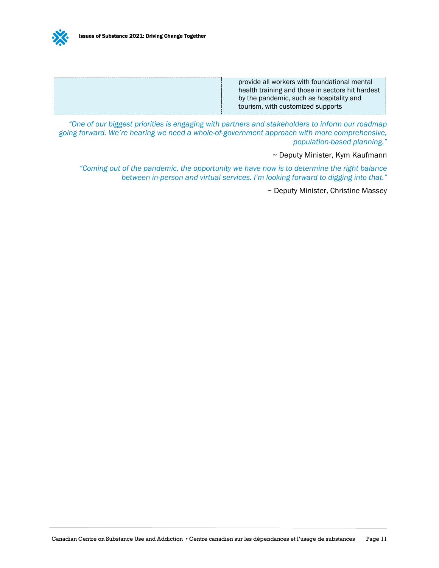

*"One of our biggest priorities is engaging with partners and stakeholders to inform our roadmap going forward. We're hearing we need a whole-of-government approach with more comprehensive, population-based planning."*

~ Deputy Minister, Kym Kaufmann

*"Coming out of the pandemic, the opportunity we have now is to determine the right balance between in-person and virtual services. I'm looking forward to digging into that."*

~ Deputy Minister, Christine Massey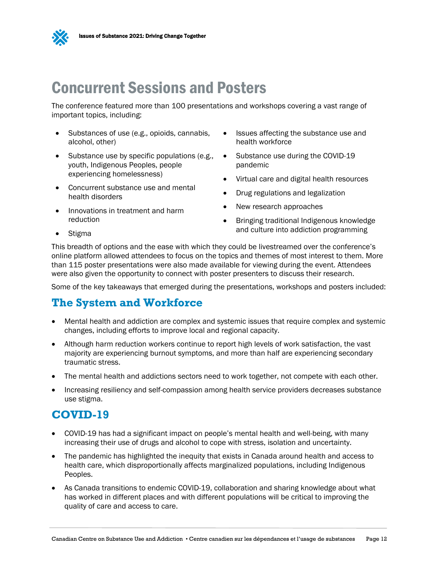

# <span id="page-15-0"></span>Concurrent Sessions and Posters

The conference featured more than 100 presentations and workshops covering a vast range of important topics, including:

- Substances of use (e.g., opioids, cannabis, alcohol, other)
- Substance use by specific populations (e.g., youth, Indigenous Peoples, people experiencing homelessness)
- Concurrent substance use and mental health disorders
- Innovations in treatment and harm reduction
- Issues affecting the substance use and health workforce
- Substance use during the COVID-19 pandemic
- Virtual care and digital health resources
- Drug regulations and legalization
- New research approaches
- Bringing traditional Indigenous knowledge and culture into addiction programming

• Stigma

This breadth of options and the ease with which they could be livestreamed over the conference's online platform allowed attendees to focus on the topics and themes of most interest to them. More than 115 poster presentations were also made available for viewing during the event. Attendees were also given the opportunity to connect with poster presenters to discuss their research.

Some of the key takeaways that emerged during the presentations, workshops and posters included:

### <span id="page-15-1"></span>**The System and Workforce**

- Mental health and addiction are complex and systemic issues that require complex and systemic changes, including efforts to improve local and regional capacity.
- Although harm reduction workers continue to report high levels of work satisfaction, the vast majority are experiencing burnout symptoms, and more than half are experiencing secondary traumatic stress.
- The mental health and addictions sectors need to work together, not compete with each other.
- Increasing resiliency and self-compassion among health service providers decreases substance use stigma.

### <span id="page-15-2"></span>**COVID-19**

- COVID-19 has had a significant impact on people's mental health and well-being, with many increasing their use of drugs and alcohol to cope with stress, isolation and uncertainty.
- The pandemic has highlighted the inequity that exists in Canada around health and access to health care, which disproportionally affects marginalized populations, including Indigenous Peoples.
- As Canada transitions to endemic COVID-19, collaboration and sharing knowledge about what has worked in different places and with different populations will be critical to improving the quality of care and access to care.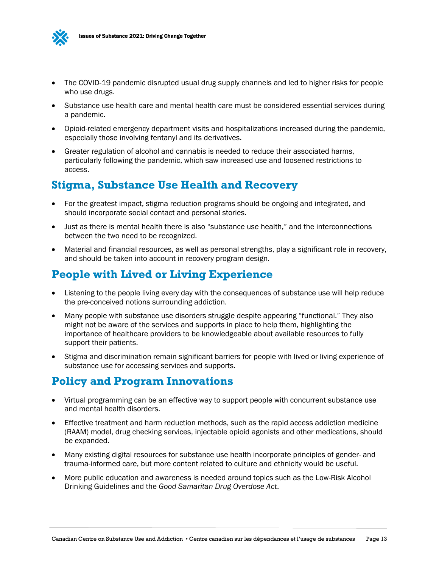

- The COVID-19 pandemic disrupted usual drug supply channels and led to higher risks for people who use drugs.
- Substance use health care and mental health care must be considered essential services during a pandemic.
- Opioid-related emergency department visits and hospitalizations increased during the pandemic, especially those involving fentanyl and its derivatives.
- Greater regulation of alcohol and cannabis is needed to reduce their associated harms, particularly following the pandemic, which saw increased use and loosened restrictions to access.

### <span id="page-16-0"></span>**Stigma, Substance Use Health and Recovery**

- For the greatest impact, stigma reduction programs should be ongoing and integrated, and should incorporate social contact and personal stories.
- Just as there is mental health there is also "substance use health," and the interconnections between the two need to be recognized.
- Material and financial resources, as well as personal strengths, play a significant role in recovery, and should be taken into account in recovery program design.

## <span id="page-16-1"></span>**People with Lived or Living Experience**

- Listening to the people living every day with the consequences of substance use will help reduce the pre-conceived notions surrounding addiction.
- Many people with substance use disorders struggle despite appearing "functional." They also might not be aware of the services and supports in place to help them, highlighting the importance of healthcare providers to be knowledgeable about available resources to fully support their patients.
- Stigma and discrimination remain significant barriers for people with lived or living experience of substance use for accessing services and supports.

### <span id="page-16-2"></span>**Policy and Program Innovations**

- Virtual programming can be an effective way to support people with concurrent substance use and mental health disorders.
- Effective treatment and harm reduction methods, such as the rapid access addiction medicine (RAAM) model, drug checking services, injectable opioid agonists and other medications, should be expanded.
- Many existing digital resources for substance use health incorporate principles of gender- and trauma-informed care, but more content related to culture and ethnicity would be useful.
- More public education and awareness is needed around topics such as the Low-Risk Alcohol Drinking Guidelines and the *Good Samaritan Drug Overdose Act*.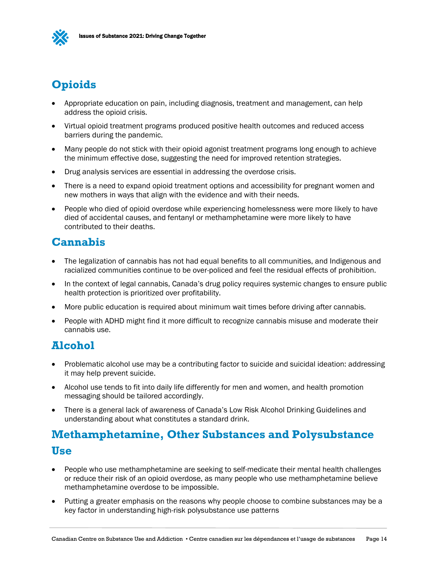

# <span id="page-17-0"></span>**Opioids**

- Appropriate education on pain, including diagnosis, treatment and management, can help address the opioid crisis.
- Virtual opioid treatment programs produced positive health outcomes and reduced access barriers during the pandemic.
- Many people do not stick with their opioid agonist treatment programs long enough to achieve the minimum effective dose, suggesting the need for improved retention strategies.
- Drug analysis services are essential in addressing the overdose crisis.
- There is a need to expand opioid treatment options and accessibility for pregnant women and new mothers in ways that align with the evidence and with their needs.
- People who died of opioid overdose while experiencing homelessness were more likely to have died of accidental causes, and fentanyl or methamphetamine were more likely to have contributed to their deaths.

## <span id="page-17-1"></span>**Cannabis**

- The legalization of cannabis has not had equal benefits to all communities, and Indigenous and racialized communities continue to be over-policed and feel the residual effects of prohibition.
- In the context of legal cannabis, Canada's drug policy requires systemic changes to ensure public health protection is prioritized over profitability.
- More public education is required about minimum wait times before driving after cannabis.
- People with ADHD might find it more difficult to recognize cannabis misuse and moderate their cannabis use.

### <span id="page-17-2"></span>**Alcohol**

- Problematic alcohol use may be a contributing factor to suicide and suicidal ideation: addressing it may help prevent suicide.
- Alcohol use tends to fit into daily life differently for men and women, and health promotion messaging should be tailored accordingly.
- There is a general lack of awareness of Canada's Low Risk Alcohol Drinking Guidelines and understanding about what constitutes a standard drink.

## <span id="page-17-3"></span>**Methamphetamine, Other Substances and Polysubstance Use**

- People who use methamphetamine are seeking to self-medicate their mental health challenges or reduce their risk of an opioid overdose, as many people who use methamphetamine believe methamphetamine overdose to be impossible.
- Putting a greater emphasis on the reasons why people choose to combine substances may be a key factor in understanding high-risk polysubstance use patterns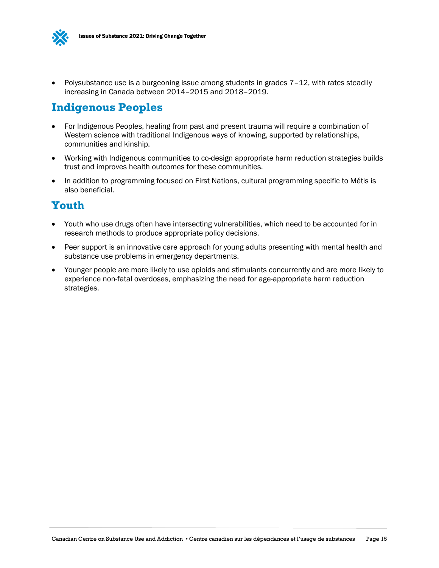

• Polysubstance use is a burgeoning issue among students in grades 7–12, with rates steadily increasing in Canada between 2014–2015 and 2018–2019.

## <span id="page-18-0"></span>**Indigenous Peoples**

- For Indigenous Peoples, healing from past and present trauma will require a combination of Western science with traditional Indigenous ways of knowing, supported by relationships, communities and kinship.
- Working with Indigenous communities to co-design appropriate harm reduction strategies builds trust and improves health outcomes for these communities.
- In addition to programming focused on First Nations, cultural programming specific to Métis is also beneficial.

### <span id="page-18-1"></span>**Youth**

- Youth who use drugs often have intersecting vulnerabilities, which need to be accounted for in research methods to produce appropriate policy decisions.
- Peer support is an innovative care approach for young adults presenting with mental health and substance use problems in emergency departments.
- Younger people are more likely to use opioids and stimulants concurrently and are more likely to experience non-fatal overdoses, emphasizing the need for age-appropriate harm reduction strategies.